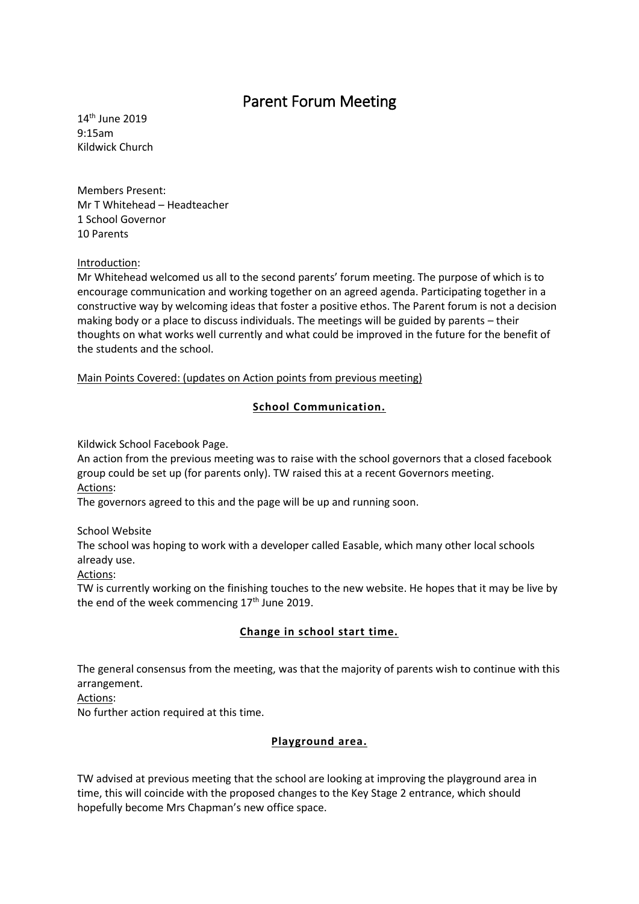# Parent Forum Meeting

14th June 2019 9:15am Kildwick Church

Members Present: Mr T Whitehead – Headteacher 1 School Governor 10 Parents

## Introduction:

Mr Whitehead welcomed us all to the second parents' forum meeting. The purpose of which is to encourage communication and working together on an agreed agenda. Participating together in a constructive way by welcoming ideas that foster a positive ethos. The Parent forum is not a decision making body or a place to discuss individuals. The meetings will be guided by parents – their thoughts on what works well currently and what could be improved in the future for the benefit of the students and the school.

Main Points Covered: (updates on Action points from previous meeting)

## **School Communication.**

Kildwick School Facebook Page.

An action from the previous meeting was to raise with the school governors that a closed facebook group could be set up (for parents only). TW raised this at a recent Governors meeting. Actions:

The governors agreed to this and the page will be up and running soon.

School Website

The school was hoping to work with a developer called Easable, which many other local schools already use.

Actions:

TW is currently working on the finishing touches to the new website. He hopes that it may be live by the end of the week commencing  $17<sup>th</sup>$  June 2019.

# **Change in school start time.**

The general consensus from the meeting, was that the majority of parents wish to continue with this arrangement.

Actions:

No further action required at this time.

# **Playground area.**

TW advised at previous meeting that the school are looking at improving the playground area in time, this will coincide with the proposed changes to the Key Stage 2 entrance, which should hopefully become Mrs Chapman's new office space.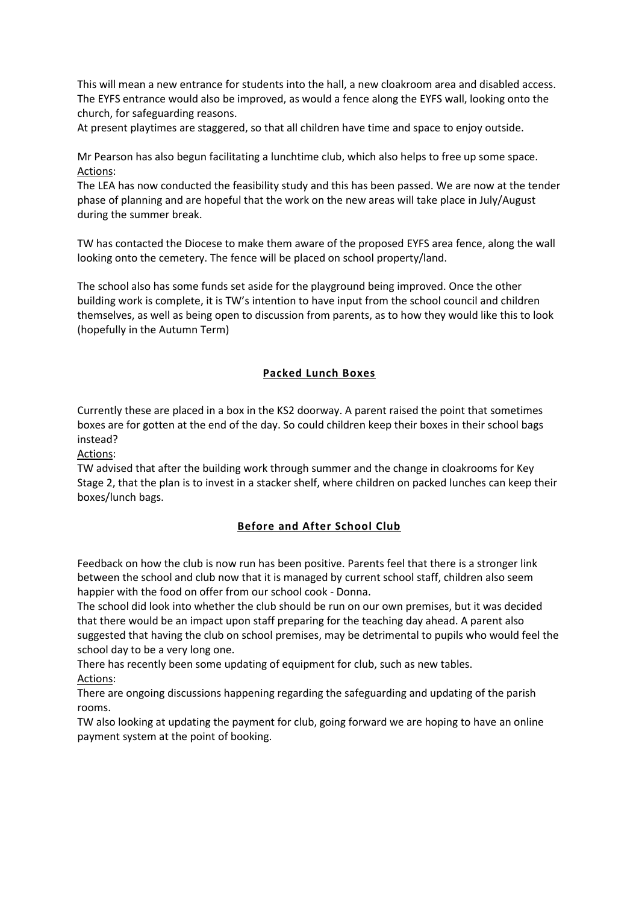This will mean a new entrance for students into the hall, a new cloakroom area and disabled access. The EYFS entrance would also be improved, as would a fence along the EYFS wall, looking onto the church, for safeguarding reasons.

At present playtimes are staggered, so that all children have time and space to enjoy outside.

Mr Pearson has also begun facilitating a lunchtime club, which also helps to free up some space. Actions:

The LEA has now conducted the feasibility study and this has been passed. We are now at the tender phase of planning and are hopeful that the work on the new areas will take place in July/August during the summer break.

TW has contacted the Diocese to make them aware of the proposed EYFS area fence, along the wall looking onto the cemetery. The fence will be placed on school property/land.

The school also has some funds set aside for the playground being improved. Once the other building work is complete, it is TW's intention to have input from the school council and children themselves, as well as being open to discussion from parents, as to how they would like this to look (hopefully in the Autumn Term)

## **Packed Lunch Boxes**

Currently these are placed in a box in the KS2 doorway. A parent raised the point that sometimes boxes are for gotten at the end of the day. So could children keep their boxes in their school bags instead?

Actions:

TW advised that after the building work through summer and the change in cloakrooms for Key Stage 2, that the plan is to invest in a stacker shelf, where children on packed lunches can keep their boxes/lunch bags.

# **Before and After School Club**

Feedback on how the club is now run has been positive. Parents feel that there is a stronger link between the school and club now that it is managed by current school staff, children also seem happier with the food on offer from our school cook - Donna.

The school did look into whether the club should be run on our own premises, but it was decided that there would be an impact upon staff preparing for the teaching day ahead. A parent also suggested that having the club on school premises, may be detrimental to pupils who would feel the school day to be a very long one.

There has recently been some updating of equipment for club, such as new tables. Actions:

There are ongoing discussions happening regarding the safeguarding and updating of the parish rooms.

TW also looking at updating the payment for club, going forward we are hoping to have an online payment system at the point of booking.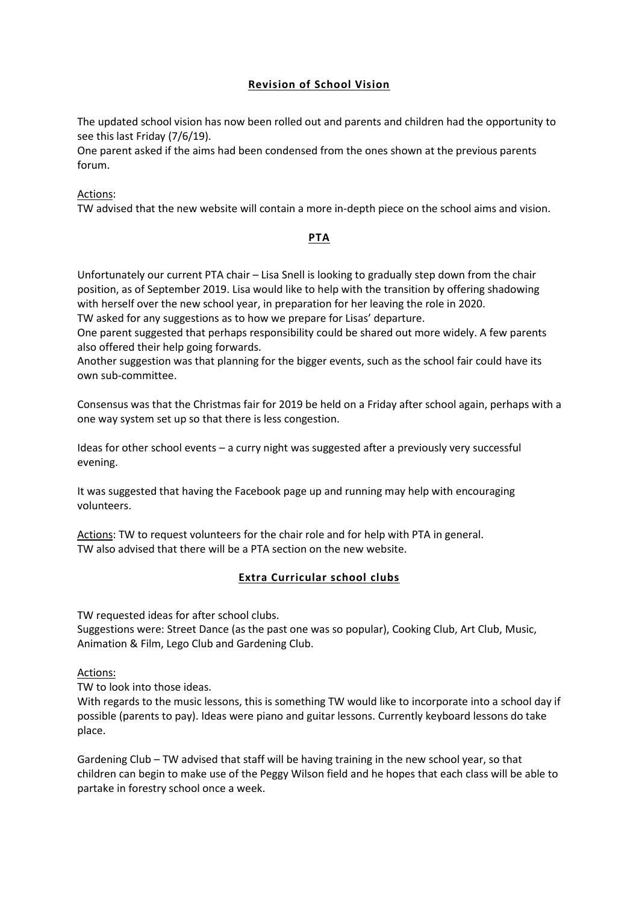# **Revision of School Vision**

The updated school vision has now been rolled out and parents and children had the opportunity to see this last Friday (7/6/19).

One parent asked if the aims had been condensed from the ones shown at the previous parents forum.

Actions:

TW advised that the new website will contain a more in-depth piece on the school aims and vision.

## **PTA**

Unfortunately our current PTA chair – Lisa Snell is looking to gradually step down from the chair position, as of September 2019. Lisa would like to help with the transition by offering shadowing with herself over the new school year, in preparation for her leaving the role in 2020. TW asked for any suggestions as to how we prepare for Lisas' departure.

One parent suggested that perhaps responsibility could be shared out more widely. A few parents also offered their help going forwards.

Another suggestion was that planning for the bigger events, such as the school fair could have its own sub-committee.

Consensus was that the Christmas fair for 2019 be held on a Friday after school again, perhaps with a one way system set up so that there is less congestion.

Ideas for other school events – a curry night was suggested after a previously very successful evening.

It was suggested that having the Facebook page up and running may help with encouraging volunteers.

Actions: TW to request volunteers for the chair role and for help with PTA in general. TW also advised that there will be a PTA section on the new website.

# **Extra Curricular school clubs**

TW requested ideas for after school clubs.

Suggestions were: Street Dance (as the past one was so popular), Cooking Club, Art Club, Music, Animation & Film, Lego Club and Gardening Club.

#### Actions:

TW to look into those ideas.

With regards to the music lessons, this is something TW would like to incorporate into a school day if possible (parents to pay). Ideas were piano and guitar lessons. Currently keyboard lessons do take place.

Gardening Club – TW advised that staff will be having training in the new school year, so that children can begin to make use of the Peggy Wilson field and he hopes that each class will be able to partake in forestry school once a week.